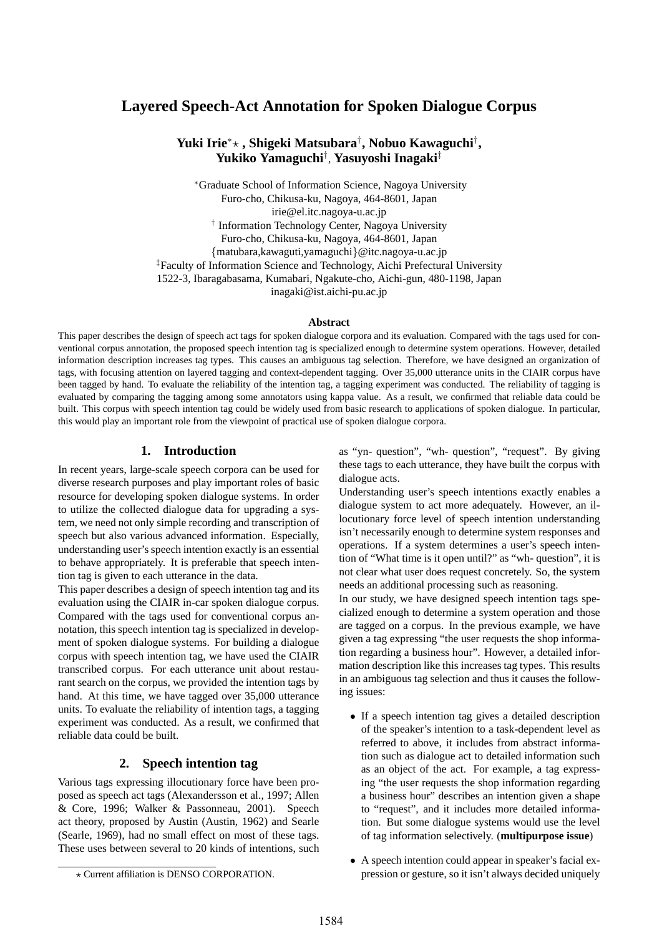# **Layered Speech-Act Annotation for Spoken Dialogue Corpus**

## $\mathbf{Y}$ uki Irie\*★ , Shigeki Matsubara<sup>†</sup>, Nobuo Kawaguchi<sup>†</sup>, **Yukiko Yamaguchi**† , **Yasuyoshi Inagaki**‡

∗Graduate School of Information Science, Nagoya University Furo-cho, Chikusa-ku, Nagoya, 464-8601, Japan irie@el.itc.nagoya-u.ac.jp † Information Technology Center, Nagoya University Furo-cho, Chikusa-ku, Nagoya, 464-8601, Japan *{*matubara,kawaguti,yamaguchi*}*@itc.nagoya-u.ac.jp ‡Faculty of Information Science and Technology, Aichi Prefectural University 1522-3, Ibaragabasama, Kumabari, Ngakute-cho, Aichi-gun, 480-1198, Japan inagaki@ist.aichi-pu.ac.jp

#### **Abstract**

This paper describes the design of speech act tags for spoken dialogue corpora and its evaluation. Compared with the tags used for conventional corpus annotation, the proposed speech intention tag is specialized enough to determine system operations. However, detailed information description increases tag types. This causes an ambiguous tag selection. Therefore, we have designed an organization of tags, with focusing attention on layered tagging and context-dependent tagging. Over 35,000 utterance units in the CIAIR corpus have been tagged by hand. To evaluate the reliability of the intention tag, a tagging experiment was conducted. The reliability of tagging is evaluated by comparing the tagging among some annotators using kappa value. As a result, we confirmed that reliable data could be built. This corpus with speech intention tag could be widely used from basic research to applications of spoken dialogue. In particular, this would play an important role from the viewpoint of practical use of spoken dialogue corpora.

## **1. Introduction**

In recent years, large-scale speech corpora can be used for diverse research purposes and play important roles of basic resource for developing spoken dialogue systems. In order to utilize the collected dialogue data for upgrading a system, we need not only simple recording and transcription of speech but also various advanced information. Especially, understanding user's speech intention exactly is an essential to behave appropriately. It is preferable that speech intention tag is given to each utterance in the data.

This paper describes a design of speech intention tag and its evaluation using the CIAIR in-car spoken dialogue corpus. Compared with the tags used for conventional corpus annotation, this speech intention tag is specialized in development of spoken dialogue systems. For building a dialogue corpus with speech intention tag, we have used the CIAIR transcribed corpus. For each utterance unit about restaurant search on the corpus, we provided the intention tags by hand. At this time, we have tagged over 35,000 utterance units. To evaluate the reliability of intention tags, a tagging experiment was conducted. As a result, we confirmed that reliable data could be built.

## **2. Speech intention tag**

Various tags expressing illocutionary force have been proposed as speech act tags (Alexandersson et al., 1997; Allen & Core, 1996; Walker & Passonneau, 2001). Speech act theory, proposed by Austin (Austin, 1962) and Searle (Searle, 1969), had no small effect on most of these tags. These uses between several to 20 kinds of intentions, such as "yn- question", "wh- question", "request". By giving these tags to each utterance, they have built the corpus with dialogue acts.

Understanding user's speech intentions exactly enables a dialogue system to act more adequately. However, an illocutionary force level of speech intention understanding isn't necessarily enough to determine system responses and operations. If a system determines a user's speech intention of "What time is it open until?" as "wh- question", it is not clear what user does request concretely. So, the system needs an additional processing such as reasoning.

In our study, we have designed speech intention tags specialized enough to determine a system operation and those are tagged on a corpus. In the previous example, we have given a tag expressing "the user requests the shop information regarding a business hour". However, a detailed information description like this increases tag types. This results in an ambiguous tag selection and thus it causes the following issues:

- *•* If a speech intention tag gives a detailed description of the speaker's intention to a task-dependent level as referred to above, it includes from abstract information such as dialogue act to detailed information such as an object of the act. For example, a tag expressing "the user requests the shop information regarding a business hour" describes an intention given a shape to "request", and it includes more detailed information. But some dialogue systems would use the level of tag information selectively. (**multipurpose issue**)
- *•* A speech intention could appear in speaker's facial expression or gesture, so it isn't always decided uniquely

<sup>-</sup> Current affiliation is DENSO CORPORATION.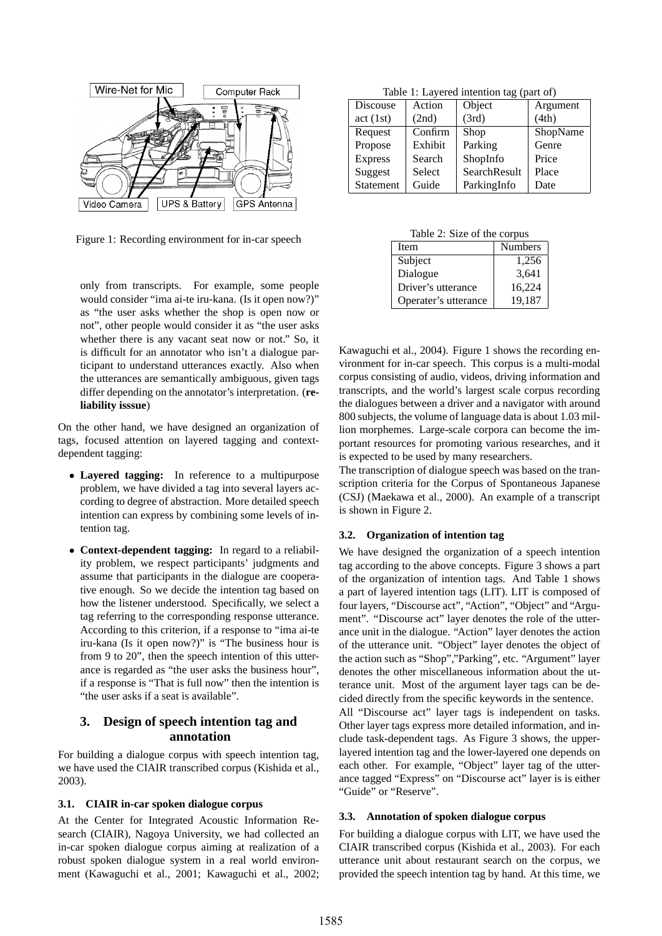

Figure 1: Recording environment for in-car speech

only from transcripts. For example, some people would consider "ima ai-te iru-kana. (Is it open now?)" as "the user asks whether the shop is open now or not", other people would consider it as "the user asks whether there is any vacant seat now or not." So, it is difficult for an annotator who isn't a dialogue participant to understand utterances exactly. Also when the utterances are semantically ambiguous, given tags differ depending on the annotator's interpretation. (**reliability isssue**)

On the other hand, we have designed an organization of tags, focused attention on layered tagging and contextdependent tagging:

- *•* **Layered tagging:** In reference to a multipurpose problem, we have divided a tag into several layers according to degree of abstraction. More detailed speech intention can express by combining some levels of intention tag.
- *•* **Context-dependent tagging:** In regard to a reliability problem, we respect participants' judgments and assume that participants in the dialogue are cooperative enough. So we decide the intention tag based on how the listener understood. Specifically, we select a tag referring to the corresponding response utterance. According to this criterion, if a response to "ima ai-te iru-kana (Is it open now?)" is "The business hour is from 9 to 20", then the speech intention of this utterance is regarded as "the user asks the business hour", if a response is "That is full now" then the intention is "the user asks if a seat is available".

## **3. Design of speech intention tag and annotation**

For building a dialogue corpus with speech intention tag, we have used the CIAIR transcribed corpus (Kishida et al., 2003).

#### **3.1. CIAIR in-car spoken dialogue corpus**

At the Center for Integrated Acoustic Information Research (CIAIR), Nagoya University, we had collected an in-car spoken dialogue corpus aiming at realization of a robust spoken dialogue system in a real world environment (Kawaguchi et al., 2001; Kawaguchi et al., 2002;

Table 1: Layered intention tag (part of)

| Discouse       | Action  | Object       | Argument |
|----------------|---------|--------------|----------|
| act(1st)       | (2nd)   | (3rd)        | (4th)    |
| Request        | Confirm | Shop         | ShopName |
| Propose        | Exhibit | Parking      | Genre    |
| <b>Express</b> | Search  | ShopInfo     | Price    |
| Suggest        | Select  | SearchResult | Place    |
| Statement      | Guide   | ParkingInfo  | Date     |

Table 2: Size of the corpus

| Item                 | <b>Numbers</b> |
|----------------------|----------------|
| Subject              | 1,256          |
| Dialogue             | 3,641          |
| Driver's utterance   | 16,224         |
| Operater's utterance | 19.187         |

Kawaguchi et al., 2004). Figure 1 shows the recording environment for in-car speech. This corpus is a multi-modal corpus consisting of audio, videos, driving information and transcripts, and the world's largest scale corpus recording the dialogues between a driver and a navigator with around 800 subjects, the volume of language data is about 1.03 million morphemes. Large-scale corpora can become the important resources for promoting various researches, and it is expected to be used by many researchers.

The transcription of dialogue speech was based on the transcription criteria for the Corpus of Spontaneous Japanese (CSJ) (Maekawa et al., 2000). An example of a transcript is shown in Figure 2.

#### **3.2. Organization of intention tag**

We have designed the organization of a speech intention tag according to the above concepts. Figure 3 shows a part of the organization of intention tags. And Table 1 shows a part of layered intention tags (LIT). LIT is composed of four layers, "Discourse act", "Action", "Object" and "Argument". "Discourse act" layer denotes the role of the utterance unit in the dialogue. "Action" layer denotes the action of the utterance unit. "Object" layer denotes the object of the action such as "Shop","Parking", etc. "Argument" layer denotes the other miscellaneous information about the utterance unit. Most of the argument layer tags can be decided directly from the specific keywords in the sentence. All "Discourse act" layer tags is independent on tasks. Other layer tags express more detailed information, and include task-dependent tags. As Figure 3 shows, the upperlayered intention tag and the lower-layered one depends on each other. For example, "Object" layer tag of the utterance tagged "Express" on "Discourse act" layer is is either "Guide" or "Reserve".

#### **3.3. Annotation of spoken dialogue corpus**

For building a dialogue corpus with LIT, we have used the CIAIR transcribed corpus (Kishida et al., 2003). For each utterance unit about restaurant search on the corpus, we provided the speech intention tag by hand. At this time, we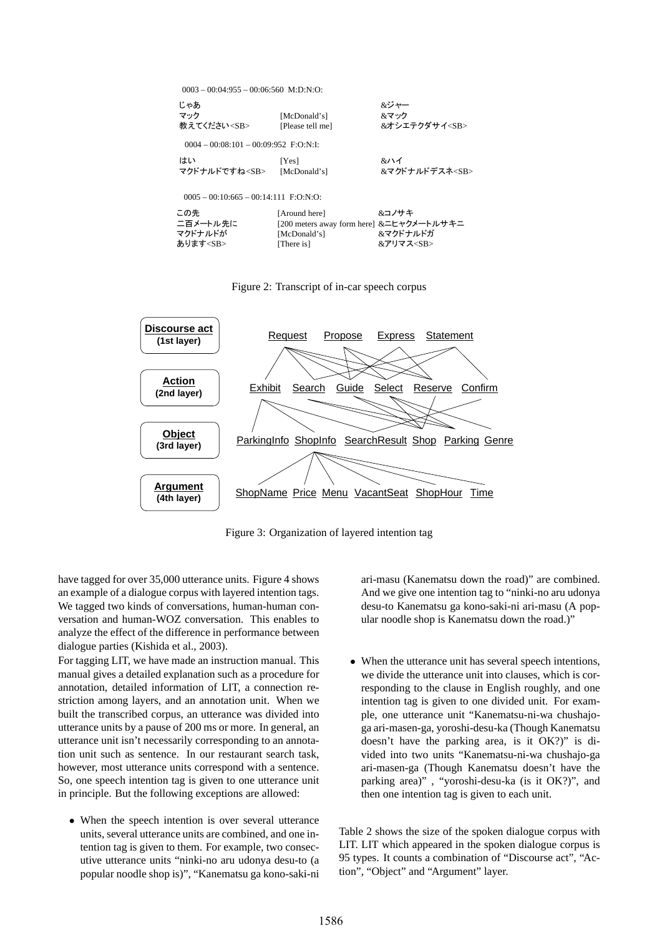| $0.003 - 0.0004:955 - 0.0006:560$ M:D:N:O:   |                                                                                         |                                      |  |  |
|----------------------------------------------|-----------------------------------------------------------------------------------------|--------------------------------------|--|--|
| じゃあ<br>マック<br>教えてください <sb></sb>              | [McDonald's]<br>[Please tell me]                                                        | &ジャー<br>&マック<br>&オシエテクダサイ <sb></sb>  |  |  |
| $0.004 - 0.008:101 - 0.009:952$ F:O:N:I:     |                                                                                         |                                      |  |  |
| はい<br>マクドナルドですね <sb></sb>                    | [Yes]<br>[McDonald's]                                                                   | &ハイ<br>&マクドナルドデスネ <sb></sb>          |  |  |
| $0.005 - 0.010:665 - 0.014:111$ F:O:N:O:     |                                                                                         |                                      |  |  |
| この先<br>二百メートル先に<br>マクドナルドが<br>あります <sb></sb> | [Around here]<br>[200 meters away form here] &ニヒャクメートルサキニ<br>[McDonald's]<br>[There is] | &コノサキ<br>&マクドナルドガ<br>&アリマス <sb></sb> |  |  |

Figure 2: Transcript of in-car speech corpus



Figure 3: Organization of layered intention tag

have tagged for over 35,000 utterance units. Figure 4 shows an example of a dialogue corpus with layered intention tags. We tagged two kinds of conversations, human-human conversation and human-WOZ conversation. This enables to analyze the effect of the difference in performance between dialogue parties (Kishida et al., 2003).

For tagging LIT, we have made an instruction manual. This manual gives a detailed explanation such as a procedure for annotation, detailed information of LIT, a connection restriction among layers, and an annotation unit. When we built the transcribed corpus, an utterance was divided into utterance units by a pause of 200 ms or more. In general, an utterance unit isn't necessarily corresponding to an annotation unit such as sentence. In our restaurant search task, however, most utterance units correspond with a sentence. So, one speech intention tag is given to one utterance unit in principle. But the following exceptions are allowed:

• When the speech intention is over several utterance units, several utterance units are combined, and one intention tag is given to them. For example, two consecutive utterance units "ninki-no aru udonya desu-to (a popular noodle shop is)", "Kanematsu ga kono-saki-ni ari-masu (Kanematsu down the road)" are combined. And we give one intention tag to "ninki-no aru udonya desu-to Kanematsu ga kono-saki-ni ari-masu (A popular noodle shop is Kanematsu down the road.)"

• When the utterance unit has several speech intentions, we divide the utterance unit into clauses, which is corresponding to the clause in English roughly, and one intention tag is given to one divided unit. For example, one utterance unit "Kanematsu-ni-wa chushajoga ari-masen-ga, yoroshi-desu-ka (Though Kanematsu doesn't have the parking area, is it OK?)" is divided into two units "Kanematsu-ni-wa chushajo-ga ari-masen-ga (Though Kanematsu doesn't have the parking area)" , "yoroshi-desu-ka (is it OK?)", and then one intention tag is given to each unit.

Table 2 shows the size of the spoken dialogue corpus with LIT. LIT which appeared in the spoken dialogue corpus is 95 types. It counts a combination of "Discourse act", "Action", "Object" and "Argument" layer.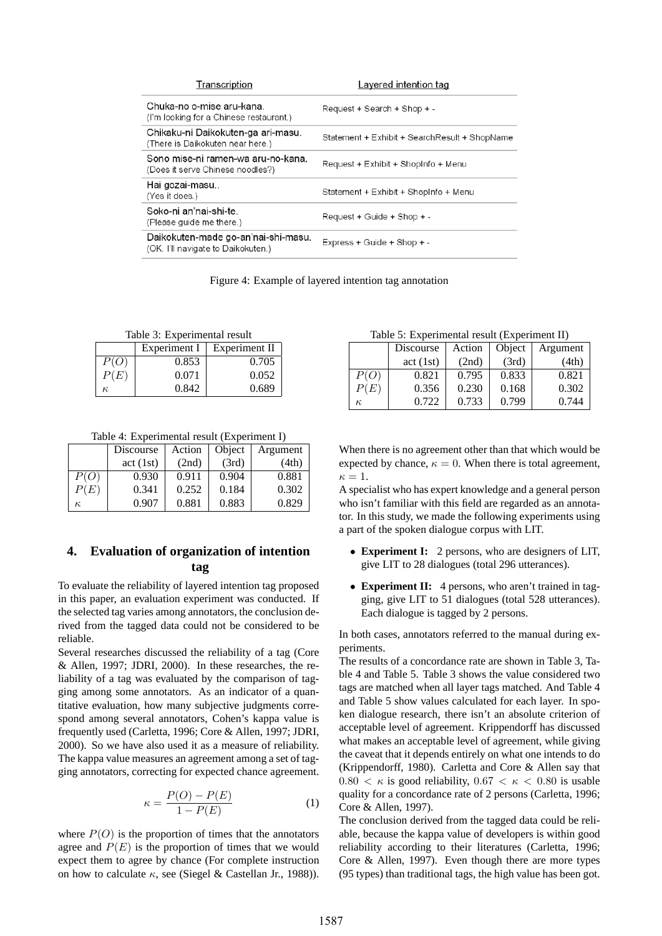| Transcription                                                             | Layered intention tag                         |
|---------------------------------------------------------------------------|-----------------------------------------------|
| Chuka-no o-mise aru-kana.<br>(I'm looking for a Chinese restaurant.)      | Request + Search + Shop + -                   |
| Chikaku-ni Daikokuten-ga ari-masu.<br>(There is Daikokuten near here.)    | Statement + Exhibit + SearchResult + ShopName |
| Sono mise-ni ramen-wa aru-no-kana.<br>(Does it serve Chinese noodles?)    | Request + Exhibit + ShopInfo + Menu           |
| Hai gozai-masu<br>(Yes it does.)                                          | Statement + Exhibit + ShopInfo + Menu         |
| Soko-ni an'nai-shi-te.<br>(Please guide me there.)                        | Request + Guide + Shop + -                    |
| Daikokuten-made go-an'nai-shi-masu.<br>(OK. I'll navigate to Daikokuten.) | Express + Guide + Shop + -                    |
|                                                                           |                                               |

Figure 4: Example of layered intention tag annotation

Table 3: Experimental result

|      | Experiment I | Experiment II |
|------|--------------|---------------|
| P(O) | 0.853        | 0.705         |
| P(E) | 0.071        | 0.052         |
|      | 0.842        | 0.689         |

Table 4: Experimental result (Experiment I)

|      | Discourse | Action | Object | Argument |
|------|-----------|--------|--------|----------|
|      | act(1st)  | (2nd)  | (3rd)  | (4th)    |
| P(O) | 0.930     | 0.911  | 0.904  | 0.881    |
| P(E) | 0.341     | 0.252  | 0.184  | 0.302    |
| к,   | 0.907     | 0.881  | 0.883  | 0.829    |

## **4. Evaluation of organization of intention tag**

To evaluate the reliability of layered intention tag proposed in this paper, an evaluation experiment was conducted. If the selected tag varies among annotators, the conclusion derived from the tagged data could not be considered to be reliable.

Several researches discussed the reliability of a tag (Core & Allen, 1997; JDRI, 2000). In these researches, the reliability of a tag was evaluated by the comparison of tagging among some annotators. As an indicator of a quantitative evaluation, how many subjective judgments correspond among several annotators, Cohen's kappa value is frequently used (Carletta, 1996; Core & Allen, 1997; JDRI, 2000). So we have also used it as a measure of reliability. The kappa value measures an agreement among a set of tagging annotators, correcting for expected chance agreement.

$$
\kappa = \frac{P(O) - P(E)}{1 - P(E)}\tag{1}
$$

where  $P(O)$  is the proportion of times that the annotators agree and  $P(E)$  is the proportion of times that we would expect them to agree by chance (For complete instruction on how to calculate  $\kappa$ , see (Siegel & Castellan Jr., 1988)).

Table 5: Experimental result (Experiment II)

| $100100$ $1.20100$ $1.00000$ $1.0000$ $1.0000$ $1.0000$ $1.0000$ |           |        |        |          |
|------------------------------------------------------------------|-----------|--------|--------|----------|
|                                                                  | Discourse | Action | Object | Argument |
|                                                                  | act(1st)  | (2nd)  | (3rd)  | (4th)    |
| P(O)                                                             | 0.821     | 0.795  | 0.833  | 0.821    |
| P(E)                                                             | 0.356     | 0.230  | 0.168  | 0.302    |
| $\kappa$                                                         | 0.722     | 0.733  | 0.799  | 0.744    |

When there is no agreement other than that which would be expected by chance,  $\kappa = 0$ . When there is total agreement,  $\kappa=1$ .

A specialist who has expert knowledge and a general person who isn't familiar with this field are regarded as an annotator. In this study, we made the following experiments using a part of the spoken dialogue corpus with LIT.

- *•* **Experiment I:** 2 persons, who are designers of LIT, give LIT to 28 dialogues (total 296 utterances).
- *•* **Experiment II:** 4 persons, who aren't trained in tagging, give LIT to 51 dialogues (total 528 utterances). Each dialogue is tagged by 2 persons.

In both cases, annotators referred to the manual during experiments.

The results of a concordance rate are shown in Table 3, Table 4 and Table 5. Table 3 shows the value considered two tags are matched when all layer tags matched. And Table 4 and Table 5 show values calculated for each layer. In spoken dialogue research, there isn't an absolute criterion of acceptable level of agreement. Krippendorff has discussed what makes an acceptable level of agreement, while giving the caveat that it depends entirely on what one intends to do (Krippendorff, 1980). Carletta and Core & Allen say that  $0.80 < \kappa$  is good reliability,  $0.67 < \kappa < 0.80$  is usable quality for a concordance rate of 2 persons (Carletta, 1996; Core & Allen, 1997).

The conclusion derived from the tagged data could be reliable, because the kappa value of developers is within good reliability according to their literatures (Carletta, 1996; Core & Allen, 1997). Even though there are more types (95 types) than traditional tags, the high value has been got.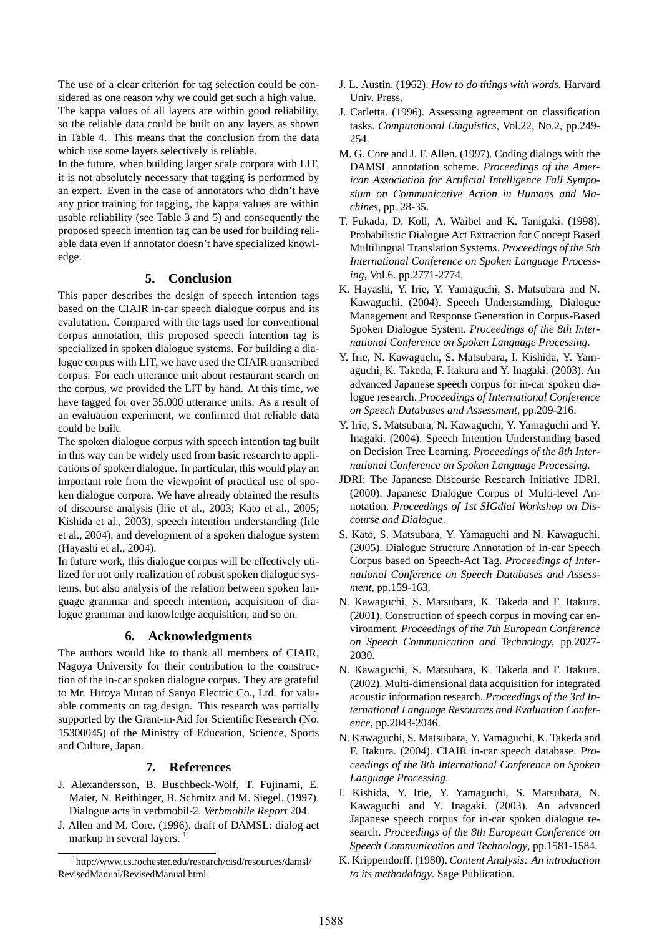The use of a clear criterion for tag selection could be considered as one reason why we could get such a high value. The kappa values of all layers are within good reliability, so the reliable data could be built on any layers as shown in Table 4. This means that the conclusion from the data which use some layers selectively is reliable.

In the future, when building larger scale corpora with LIT, it is not absolutely necessary that tagging is performed by an expert. Even in the case of annotators who didn't have any prior training for tagging, the kappa values are within usable reliability (see Table 3 and 5) and consequently the proposed speech intention tag can be used for building reliable data even if annotator doesn't have specialized knowledge.

## **5. Conclusion**

This paper describes the design of speech intention tags based on the CIAIR in-car speech dialogue corpus and its evalutation. Compared with the tags used for conventional corpus annotation, this proposed speech intention tag is specialized in spoken dialogue systems. For building a dialogue corpus with LIT, we have used the CIAIR transcribed corpus. For each utterance unit about restaurant search on the corpus, we provided the LIT by hand. At this time, we have tagged for over 35,000 utterance units. As a result of an evaluation experiment, we confirmed that reliable data could be built.

The spoken dialogue corpus with speech intention tag built in this way can be widely used from basic research to applications of spoken dialogue. In particular, this would play an important role from the viewpoint of practical use of spoken dialogue corpora. We have already obtained the results of discourse analysis (Irie et al., 2003; Kato et al., 2005; Kishida et al., 2003), speech intention understanding (Irie et al., 2004), and development of a spoken dialogue system (Hayashi et al., 2004).

In future work, this dialogue corpus will be effectively utilized for not only realization of robust spoken dialogue systems, but also analysis of the relation between spoken language grammar and speech intention, acquisition of dialogue grammar and knowledge acquisition, and so on.

## **6. Acknowledgments**

The authors would like to thank all members of CIAIR, Nagoya University for their contribution to the construction of the in-car spoken dialogue corpus. They are grateful to Mr. Hiroya Murao of Sanyo Electric Co., Ltd. for valuable comments on tag design. This research was partially supported by the Grant-in-Aid for Scientific Research (No. 15300045) of the Ministry of Education, Science, Sports and Culture, Japan.

## **7. References**

- J. Alexandersson, B. Buschbeck-Wolf, T. Fujinami, E. Maier, N. Reithinger, B. Schmitz and M. Siegel. (1997). Dialogue acts in verbmobil-2. *Verbmobile Report* 204.
- J. Allen and M. Core. (1996). draft of DAMSL: dialog act markup in several layers.<sup>1</sup>
- J. L. Austin. (1962). *How to do things with words.* Harvard Univ. Press.
- J. Carletta. (1996). Assessing agreement on classification tasks. *Computational Linguistics*, Vol.22, No.2, pp.249- 254.
- M. G. Core and J. F. Allen. (1997). Coding dialogs with the DAMSL annotation scheme. *Proceedings of the American Association for Artificial Intelligence Fall Symposium on Communicative Action in Humans and Machines*, pp. 28-35.
- T. Fukada, D. Koll, A. Waibel and K. Tanigaki. (1998). Probabilistic Dialogue Act Extraction for Concept Based Multilingual Translation Systems. *Proceedings of the 5th International Conference on Spoken Language Processing*, Vol.6. pp.2771-2774.
- K. Hayashi, Y. Irie, Y. Yamaguchi, S. Matsubara and N. Kawaguchi. (2004). Speech Understanding, Dialogue Management and Response Generation in Corpus-Based Spoken Dialogue System. *Proceedings of the 8th International Conference on Spoken Language Processing*.
- Y. Irie, N. Kawaguchi, S. Matsubara, I. Kishida, Y. Yamaguchi, K. Takeda, F. Itakura and Y. Inagaki. (2003). An advanced Japanese speech corpus for in-car spoken dialogue research. *Proceedings of International Conference on Speech Databases and Assessment*, pp.209-216.
- Y. Irie, S. Matsubara, N. Kawaguchi, Y. Yamaguchi and Y. Inagaki. (2004). Speech Intention Understanding based on Decision Tree Learning. *Proceedings of the 8th International Conference on Spoken Language Processing*.
- JDRI: The Japanese Discourse Research Initiative JDRI. (2000). Japanese Dialogue Corpus of Multi-level Annotation. *Proceedings of 1st SIGdial Workshop on Discourse and Dialogue*.
- S. Kato, S. Matsubara, Y. Yamaguchi and N. Kawaguchi. (2005). Dialogue Structure Annotation of In-car Speech Corpus based on Speech-Act Tag. *Proceedings of International Conference on Speech Databases and Assessment*, pp.159-163.
- N. Kawaguchi, S. Matsubara, K. Takeda and F. Itakura. (2001). Construction of speech corpus in moving car environment. *Proceedings of the 7th European Conference on Speech Communication and Technology*, pp.2027- 2030.
- N. Kawaguchi, S. Matsubara, K. Takeda and F. Itakura. (2002). Multi-dimensional data acquisition for integrated acoustic information research. *Proceedings of the 3rd International Language Resources and Evaluation Conference*, pp.2043-2046.
- N. Kawaguchi, S. Matsubara, Y. Yamaguchi, K. Takeda and F. Itakura. (2004). CIAIR in-car speech database. *Proceedings of the 8th International Conference on Spoken Language Processing*.
- I. Kishida, Y. Irie, Y. Yamaguchi, S. Matsubara, N. Kawaguchi and Y. Inagaki. (2003). An advanced Japanese speech corpus for in-car spoken dialogue research. *Proceedings of the 8th European Conference on Speech Communication and Technology*, pp.1581-1584.
- K. Krippendorff. (1980). *Content Analysis: An introduction to its methodology*. Sage Publication.

<sup>1</sup> http://www.cs.rochester.edu/research/cisd/resources/damsl/ RevisedManual/RevisedManual.html